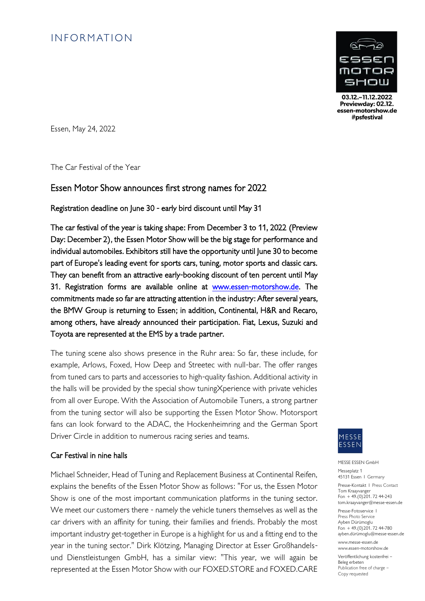# **INFORMATION**



03.12 - 11.12.2022 Previewday: 02.12. essen-motorshow.de #psfestival

Essen, May 24, 2022

The Car Festival of the Year

### Essen Motor Show announces first strong names for 2022

Registration deadline on June 30 - early bird discount until May 31

The car festival of the year is taking shape: From December 3 to 11, 2022 (Preview Day: December 2), the Essen Motor Show will be the big stage for performance and individual automobiles. Exhibitors still have the opportunity until June 30 to become part of Europe's leading event for sports cars, tuning, motor sports and classic cars. They can benefit from an attractive early-booking discount of ten percent until May 31. Registration forms are available online at [www.essen-motorshow.de.](http://www.essen-motorshow.de/) The commitments made so far are attracting attention in the industry: After several years, the BMW Group is returning to Essen; in addition, Continental, H&R and Recaro, among others, have already announced their participation. Fiat, Lexus, Suzuki and Toyota are represented at the EMS by a trade partner.

The tuning scene also shows presence in the Ruhr area: So far, these include, for example, Arlows, Foxed, How Deep and Streetec with null-bar. The offer ranges from tuned cars to parts and accessories to high-quality fashion. Additional activity in the halls will be provided by the special show tuningXperience with private vehicles from all over Europe. With the Association of Automobile Tuners, a strong partner from the tuning sector will also be supporting the Essen Motor Show. Motorsport fans can look forward to the ADAC, the Hockenheimring and the German Sport Driver Circle in addition to numerous racing series and teams.

### Car Festival in nine halls

Michael Schneider, Head of Tuning and Replacement Business at Continental Reifen, explains the benefits of the Essen Motor Show as follows: "For us, the Essen Motor Show is one of the most important communication platforms in the tuning sector. We meet our customers there - namely the vehicle tuners themselves as well as the car drivers with an affinity for tuning, their families and friends. Probably the most important industry get-together in Europe is a highlight for us and a fitting end to the year in the tuning sector." Dirk Klötzing, Managing Director at Esser Großhandelsund Dienstleistungen GmbH, has a similar view: "This year, we will again be represented at the Essen Motor Show with our FOXED.STORE and FOXED.CARE



#### MESSE ESSEN GmbH

Messeplatz 1 45131 Essen I Germany Presse-Kontakt I Press Contact . . . .<br>Tom Kraayvanger

Fon  $+49(0)201.7244-243$ tom.kraayvanger@messe-essen.de Presse-Fotoservice I

Press Photo Service Ayben Dürümoglu  $F_{\text{on}}$  + 49.(0) 201. 72 44-780 ayben.dürümoglu@messe-essen.de

www.messe-essen.de www.essen-motorshow.de

Veröffentlichung kostenfrei –

Beleg erbeten Publication free of charge – Copy requested